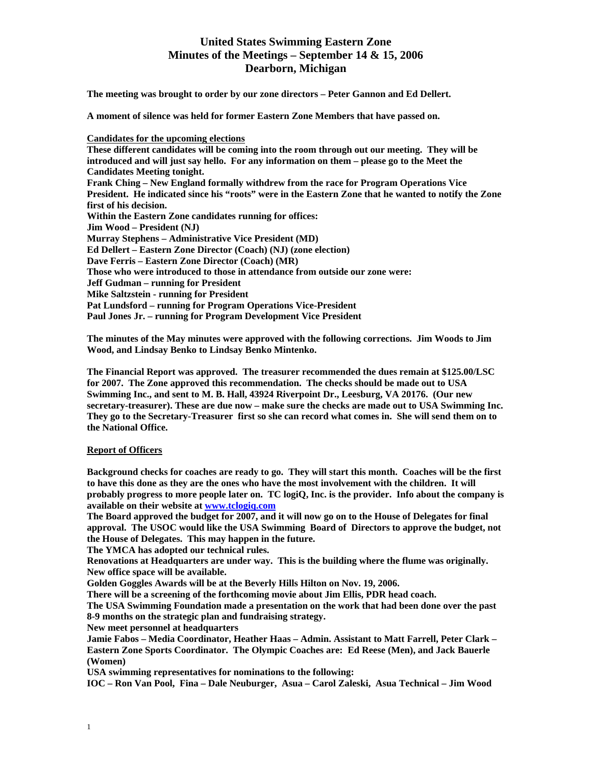**The meeting was brought to order by our zone directors – Peter Gannon and Ed Dellert.** 

**A moment of silence was held for former Eastern Zone Members that have passed on.** 

# **Candidates for the upcoming elections**

**These different candidates will be coming into the room through out our meeting. They will be introduced and will just say hello. For any information on them – please go to the Meet the Candidates Meeting tonight. Frank Ching – New England formally withdrew from the race for Program Operations Vice President. He indicated since his "roots" were in the Eastern Zone that he wanted to notify the Zone first of his decision. Within the Eastern Zone candidates running for offices: Jim Wood – President (NJ) Murray Stephens – Administrative Vice President (MD) Ed Dellert – Eastern Zone Director (Coach) (NJ) (zone election) Dave Ferris – Eastern Zone Director (Coach) (MR) Those who were introduced to those in attendance from outside our zone were: Jeff Gudman – running for President Mike Saltzstein - running for President Pat Lundsford – running for Program Operations Vice-President Paul Jones Jr. – running for Program Development Vice President** 

**The minutes of the May minutes were approved with the following corrections. Jim Woods to Jim Wood, and Lindsay Benko to Lindsay Benko Mintenko.** 

**The Financial Report was approved. The treasurer recommended the dues remain at \$125.00/LSC for 2007. The Zone approved this recommendation. The checks should be made out to USA Swimming Inc., and sent to M. B. Hall, 43924 Riverpoint Dr., Leesburg, VA 20176. (Our new secretary-treasurer). These are due now – make sure the checks are made out to USA Swimming Inc. They go to the Secretary-Treasurer first so she can record what comes in. She will send them on to the National Office.** 

# **Report of Officers**

**Background checks for coaches are ready to go. They will start this month. Coaches will be the first to have this done as they are the ones who have the most involvement with the children. It will probably progress to more people later on. TC logiQ, Inc. is the provider. Info about the company is available on their website at [www.tclogiq.com](http://www.tclogiq.com/)** 

**The Board approved the budget for 2007, and it will now go on to the House of Delegates for final approval. The USOC would like the USA Swimming Board of Directors to approve the budget, not the House of Delegates. This may happen in the future.** 

**The YMCA has adopted our technical rules.** 

**Renovations at Headquarters are under way. This is the building where the flume was originally. New office space will be available.** 

**Golden Goggles Awards will be at the Beverly Hills Hilton on Nov. 19, 2006.** 

**There will be a screening of the forthcoming movie about Jim Ellis, PDR head coach.** 

**The USA Swimming Foundation made a presentation on the work that had been done over the past 8-9 months on the strategic plan and fundraising strategy.** 

**New meet personnel at headquarters** 

**Jamie Fabos – Media Coordinator, Heather Haas – Admin. Assistant to Matt Farrell, Peter Clark – Eastern Zone Sports Coordinator. The Olympic Coaches are: Ed Reese (Men), and Jack Bauerle (Women)** 

**USA swimming representatives for nominations to the following:** 

**IOC – Ron Van Pool, Fina – Dale Neuburger, Asua – Carol Zaleski, Asua Technical – Jim Wood**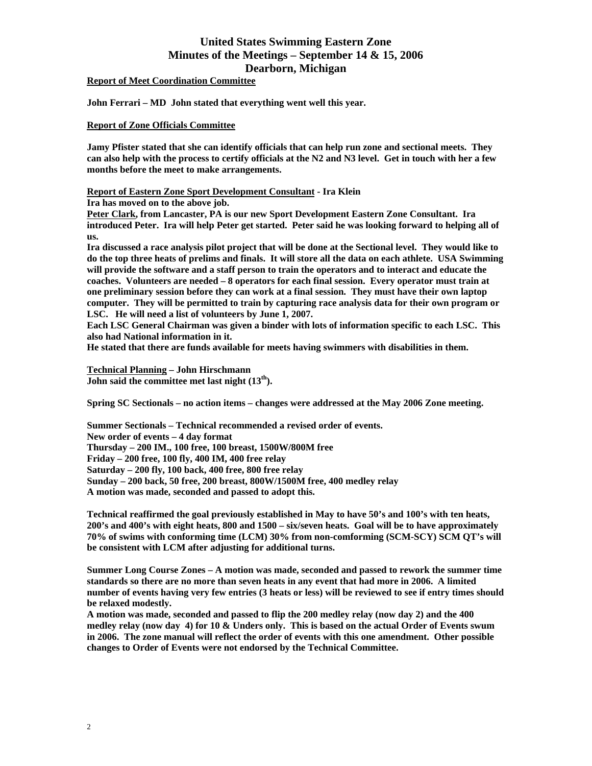**Report of Meet Coordination Committee**

**John Ferrari – MD John stated that everything went well this year.** 

# **Report of Zone Officials Committee**

**Jamy Pfister stated that she can identify officials that can help run zone and sectional meets. They can also help with the process to certify officials at the N2 and N3 level. Get in touch with her a few months before the meet to make arrangements.** 

**Report of Eastern Zone Sport Development Consultant - Ira Klein** 

**Ira has moved on to the above job.** 

**Peter Clark, from Lancaster, PA is our new Sport Development Eastern Zone Consultant. Ira introduced Peter. Ira will help Peter get started. Peter said he was looking forward to helping all of us.** 

**Ira discussed a race analysis pilot project that will be done at the Sectional level. They would like to do the top three heats of prelims and finals. It will store all the data on each athlete. USA Swimming will provide the software and a staff person to train the operators and to interact and educate the coaches. Volunteers are needed – 8 operators for each final session. Every operator must train at one preliminary session before they can work at a final session. They must have their own laptop computer. They will be permitted to train by capturing race analysis data for their own program or LSC. He will need a list of volunteers by June 1, 2007.** 

**Each LSC General Chairman was given a binder with lots of information specific to each LSC. This also had National information in it.** 

**He stated that there are funds available for meets having swimmers with disabilities in them.** 

**Technical Planning – John Hirschmann**  John said the committee met last night  $(13<sup>th</sup>)$ .

**Spring SC Sectionals – no action items – changes were addressed at the May 2006 Zone meeting.** 

**Summer Sectionals – Technical recommended a revised order of events. New order of events – 4 day format Thursday – 200 IM., 100 free, 100 breast, 1500W/800M free Friday – 200 free, 100 fly, 400 IM, 400 free relay Saturday – 200 fly, 100 back, 400 free, 800 free relay Sunday – 200 back, 50 free, 200 breast, 800W/1500M free, 400 medley relay A motion was made, seconded and passed to adopt this.** 

**Technical reaffirmed the goal previously established in May to have 50's and 100's with ten heats, 200's and 400's with eight heats, 800 and 1500 – six/seven heats. Goal will be to have approximately 70% of swims with conforming time (LCM) 30% from non-comforming (SCM-SCY) SCM QT's will be consistent with LCM after adjusting for additional turns.** 

**Summer Long Course Zones – A motion was made, seconded and passed to rework the summer time standards so there are no more than seven heats in any event that had more in 2006. A limited number of events having very few entries (3 heats or less) will be reviewed to see if entry times should be relaxed modestly.** 

**A motion was made, seconded and passed to flip the 200 medley relay (now day 2) and the 400 medley relay (now day 4) for 10 & Unders only. This is based on the actual Order of Events swum in 2006. The zone manual will reflect the order of events with this one amendment. Other possible changes to Order of Events were not endorsed by the Technical Committee.**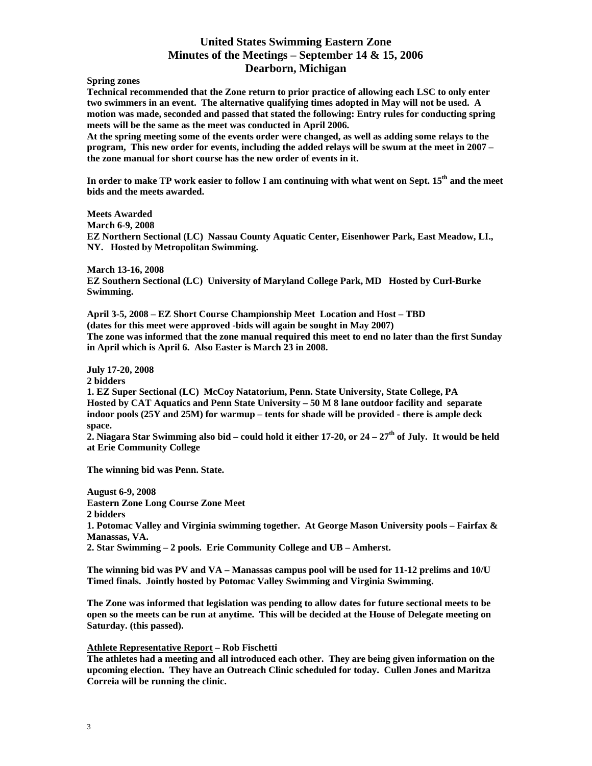**Spring zones** 

**Technical recommended that the Zone return to prior practice of allowing each LSC to only enter two swimmers in an event. The alternative qualifying times adopted in May will not be used. A motion was made, seconded and passed that stated the following: Entry rules for conducting spring meets will be the same as the meet was conducted in April 2006.** 

**At the spring meeting some of the events order were changed, as well as adding some relays to the program, This new order for events, including the added relays will be swum at the meet in 2007 – the zone manual for short course has the new order of events in it.** 

In order to make TP work easier to follow I am continuing with what went on Sept. 15<sup>th</sup> and the meet **bids and the meets awarded.** 

**Meets Awarded March 6-9, 2008 EZ Northern Sectional (LC) Nassau County Aquatic Center, Eisenhower Park, East Meadow, LI., NY. Hosted by Metropolitan Swimming.** 

**March 13-16, 2008 EZ Southern Sectional (LC) University of Maryland College Park, MD Hosted by Curl-Burke Swimming.** 

**April 3-5, 2008 – EZ Short Course Championship Meet Location and Host – TBD (dates for this meet were approved -bids will again be sought in May 2007) The zone was informed that the zone manual required this meet to end no later than the first Sunday in April which is April 6. Also Easter is March 23 in 2008.** 

**July 17-20, 2008** 

**2 bidders** 

**1. EZ Super Sectional (LC) McCoy Natatorium, Penn. State University, State College, PA Hosted by CAT Aquatics and Penn State University – 50 M 8 lane outdoor facility and separate indoor pools (25Y and 25M) for warmup – tents for shade will be provided - there is ample deck space.** 

**2. Niagara Star Swimming also bid – could hold it either 17-20, or 24 – 27th of July. It would be held at Erie Community College** 

**The winning bid was Penn. State.** 

**August 6-9, 2008 Eastern Zone Long Course Zone Meet 2 bidders 1. Potomac Valley and Virginia swimming together. At George Mason University pools – Fairfax & Manassas, VA. 2. Star Swimming – 2 pools. Erie Community College and UB – Amherst.** 

**The winning bid was PV and VA – Manassas campus pool will be used for 11-12 prelims and 10/U Timed finals. Jointly hosted by Potomac Valley Swimming and Virginia Swimming.** 

**The Zone was informed that legislation was pending to allow dates for future sectional meets to be open so the meets can be run at anytime. This will be decided at the House of Delegate meeting on Saturday. (this passed).** 

# **Athlete Representative Report – Rob Fischetti**

**The athletes had a meeting and all introduced each other. They are being given information on the upcoming election. They have an Outreach Clinic scheduled for today. Cullen Jones and Maritza Correia will be running the clinic.**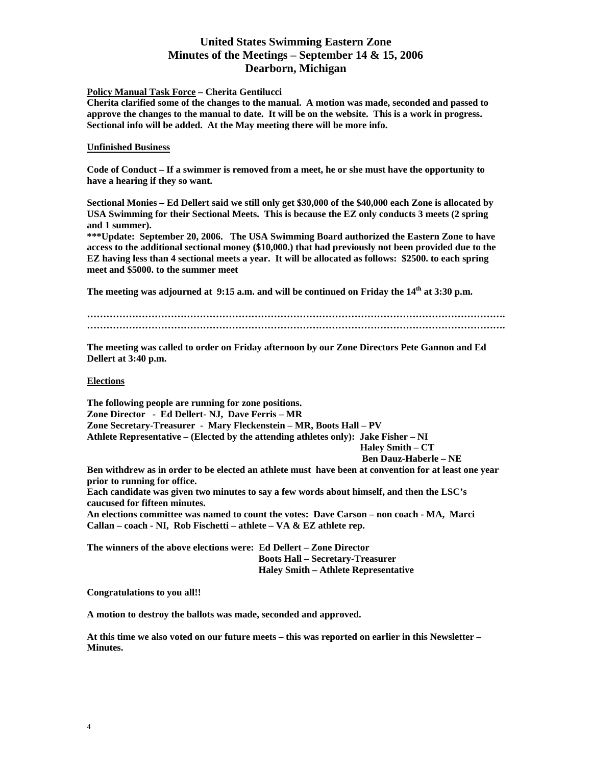# **Policy Manual Task Force – Cherita Gentilucci**

**Cherita clarified some of the changes to the manual. A motion was made, seconded and passed to approve the changes to the manual to date. It will be on the website. This is a work in progress. Sectional info will be added. At the May meeting there will be more info.** 

### **Unfinished Business**

**Code of Conduct – If a swimmer is removed from a meet, he or she must have the opportunity to have a hearing if they so want.** 

**Sectional Monies – Ed Dellert said we still only get \$30,000 of the \$40,000 each Zone is allocated by USA Swimming for their Sectional Meets. This is because the EZ only conducts 3 meets (2 spring and 1 summer).** 

**\*\*\*Update: September 20, 2006. The USA Swimming Board authorized the Eastern Zone to have access to the additional sectional money (\$10,000.) that had previously not been provided due to the EZ having less than 4 sectional meets a year. It will be allocated as follows: \$2500. to each spring meet and \$5000. to the summer meet** 

The meeting was adjourned at 9:15 a.m. and will be continued on Friday the 14<sup>th</sup> at 3:30 p.m.

**…………………………………………………………………………………………………………………. ………………………………………………………………………………………………………………….** 

**The meeting was called to order on Friday afternoon by our Zone Directors Pete Gannon and Ed Dellert at 3:40 p.m.** 

#### **Elections**

**The following people are running for zone positions. Zone Director - Ed Dellert- NJ, Dave Ferris – MR Zone Secretary-Treasurer - Mary Fleckenstein – MR, Boots Hall – PV Athlete Representative – (Elected by the attending athletes only): Jake Fisher – NI Haley Smith – CT Ben Dauz-Haberle – NE Ben withdrew as in order to be elected an athlete must have been at convention for at least one year prior to running for office. Each candidate was given two minutes to say a few words about himself, and then the LSC's caucused for fifteen minutes. An elections committee was named to count the votes: Dave Carson – non coach - MA, Marci Callan – coach - NI, Rob Fischetti – athlete – VA & EZ athlete rep.** 

**The winners of the above elections were: Ed Dellert – Zone Director Boots Hall – Secretary-Treasurer Haley Smith – Athlete Representative** 

**Congratulations to you all!!** 

**A motion to destroy the ballots was made, seconded and approved.** 

**At this time we also voted on our future meets – this was reported on earlier in this Newsletter – Minutes.**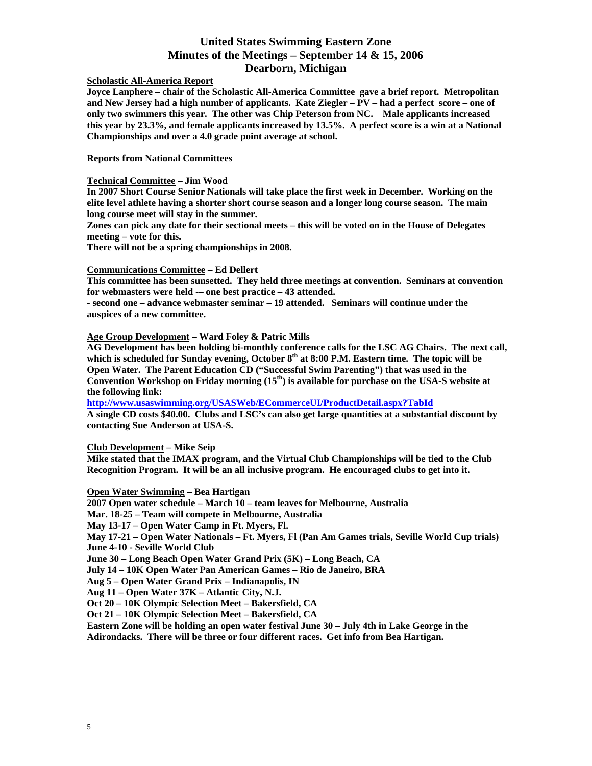# **Scholastic All-America Report**

**Joyce Lanphere – chair of the Scholastic All-America Committee gave a brief report. Metropolitan and New Jersey had a high number of applicants. Kate Ziegler – PV – had a perfect score – one of only two swimmers this year. The other was Chip Peterson from NC. Male applicants increased this year by 23.3%, and female applicants increased by 13.5%. A perfect score is a win at a National Championships and over a 4.0 grade point average at school.** 

**Reports from National Committees**

# **Technical Committee – Jim Wood**

**In 2007 Short Course Senior Nationals will take place the first week in December. Working on the elite level athlete having a shorter short course season and a longer long course season. The main long course meet will stay in the summer.** 

**Zones can pick any date for their sectional meets – this will be voted on in the House of Delegates meeting – vote for this.** 

**There will not be a spring championships in 2008.** 

### **Communications Committee – Ed Dellert**

**This committee has been sunsetted. They held three meetings at convention. Seminars at convention for webmasters were held -– one best practice – 43 attended.** 

**- second one – advance webmaster seminar – 19 attended. Seminars will continue under the auspices of a new committee.** 

**Age Group Development – Ward Foley & Patric Mills** 

**AG Development has been holding bi-monthly conference calls for the LSC AG Chairs. The next call,**  which is scheduled for Sunday evening, October 8<sup>th</sup> at 8:00 P.M. Eastern time. The topic will be **Open Water. The Parent Education CD ("Successful Swim Parenting") that was used in the**  Convention Workshop on Friday morning (15<sup>th</sup>) is available for purchase on the USA-S website at **the following link:** 

**<http://www.usaswimming.org/USASWeb/ECommerceUI/ProductDetail.aspx?TabId>**

**A single CD costs \$40.00. Clubs and LSC's can also get large quantities at a substantial discount by contacting Sue Anderson at USA-S.** 

# **Club Development – Mike Seip**

**Mike stated that the IMAX program, and the Virtual Club Championships will be tied to the Club Recognition Program. It will be an all inclusive program. He encouraged clubs to get into it.** 

**Open Water Swimming – Bea Hartigan** 

**2007 Open water schedule – March 10 – team leaves for Melbourne, Australia** 

**Mar. 18-25 – Team will compete in Melbourne, Australia** 

**May 13-17 – Open Water Camp in Ft. Myers, Fl.** 

**May 17-21 – Open Water Nationals – Ft. Myers, Fl (Pan Am Games trials, Seville World Cup trials) June 4-10 - Seville World Club** 

**June 30 – Long Beach Open Water Grand Prix (5K) – Long Beach, CA** 

**July 14 – 10K Open Water Pan American Games – Rio de Janeiro, BRA** 

**Aug 5 – Open Water Grand Prix – Indianapolis, IN** 

**Aug 11 – Open Water 37K – Atlantic City, N.J.** 

**Oct 20 – 10K Olympic Selection Meet – Bakersfield, CA** 

**Oct 21 – 10K Olympic Selection Meet – Bakersfield, CA** 

**Eastern Zone will be holding an open water festival June 30 – July 4th in Lake George in the Adirondacks. There will be three or four different races. Get info from Bea Hartigan.**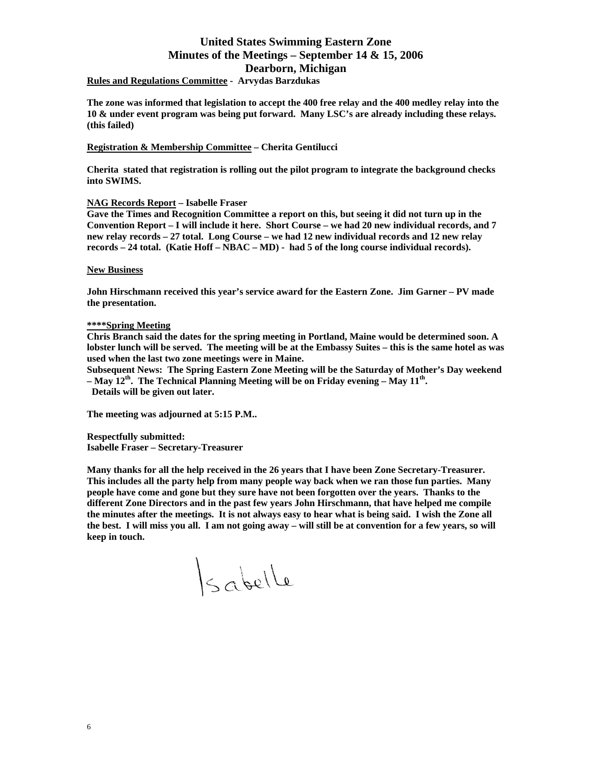**Rules and Regulations Committee - Arvydas Barzdukas** 

**The zone was informed that legislation to accept the 400 free relay and the 400 medley relay into the 10 & under event program was being put forward. Many LSC's are already including these relays. (this failed)** 

# **Registration & Membership Committee – Cherita Gentilucci**

**Cherita stated that registration is rolling out the pilot program to integrate the background checks into SWIMS.** 

# **NAG Records Report – Isabelle Fraser**

**Gave the Times and Recognition Committee a report on this, but seeing it did not turn up in the Convention Report – I will include it here. Short Course – we had 20 new individual records, and 7 new relay records – 27 total. Long Course – we had 12 new individual records and 12 new relay records – 24 total. (Katie Hoff – NBAC – MD) - had 5 of the long course individual records).** 

### **New Business**

**John Hirschmann received this year's service award for the Eastern Zone. Jim Garner – PV made the presentation.** 

### **\*\*\*\*Spring Meeting**

**Chris Branch said the dates for the spring meeting in Portland, Maine would be determined soon. A lobster lunch will be served. The meeting will be at the Embassy Suites – this is the same hotel as was used when the last two zone meetings were in Maine.** 

**Subsequent News: The Spring Eastern Zone Meeting will be the Saturday of Mother's Day weekend – May 12th. The Technical Planning Meeting will be on Friday evening – May 11th. Details will be given out later.** 

**The meeting was adjourned at 5:15 P.M..** 

**Respectfully submitted: Isabelle Fraser – Secretary-Treasurer** 

**Many thanks for all the help received in the 26 years that I have been Zone Secretary-Treasurer. This includes all the party help from many people way back when we ran those fun parties. Many people have come and gone but they sure have not been forgotten over the years. Thanks to the different Zone Directors and in the past few years John Hirschmann, that have helped me compile the minutes after the meetings. It is not always easy to hear what is being said. I wish the Zone all the best. I will miss you all. I am not going away – will still be at convention for a few years, so will keep in touch.** 

 $|s_{\alpha}$ belle